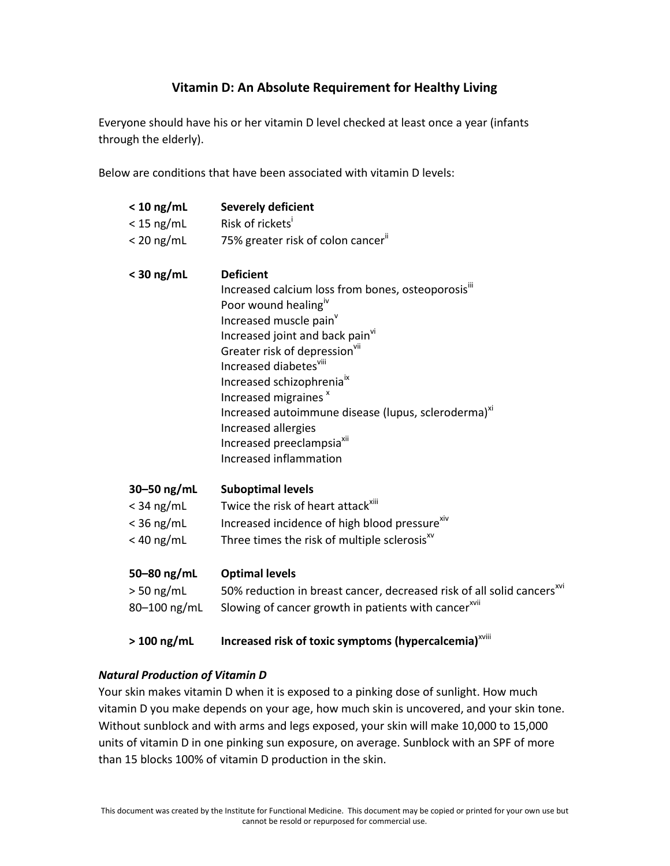## **Vitamin D: An Absolute Requirement for Healthy Living**

Everyone should have his or her vitamin D level checked at least once a year (infants through the elderly).

Below are conditions that have been associated with vitamin D levels:

| $< 10$ ng/mL    | <b>Severely deficient</b>                                                          |
|-----------------|------------------------------------------------------------------------------------|
| $<$ 15 ng/mL    | Risk of rickets <sup>i</sup>                                                       |
| $< 20$ ng/mL    | 75% greater risk of colon cancer <sup>ii</sup>                                     |
| $<$ 30 ng/mL    | <b>Deficient</b>                                                                   |
|                 | Increased calcium loss from bones, osteoporosis"                                   |
|                 | Poor wound healing <sup>iv</sup>                                                   |
|                 | Increased muscle pain <sup>v</sup>                                                 |
|                 | Increased joint and back pain <sup>vi</sup>                                        |
|                 | Greater risk of depression <sup>VII</sup>                                          |
|                 | Increased diabetes <sup>viii</sup>                                                 |
|                 | Increased schizophrenia <sup>ix</sup>                                              |
|                 | Increased migraines <sup>x</sup>                                                   |
|                 | Increased autoimmune disease (lupus, scleroderma) <sup>xi</sup>                    |
|                 | Increased allergies                                                                |
|                 | Increased preeclampsia <sup>xii</sup>                                              |
|                 | Increased inflammation                                                             |
| $30 - 50$ ng/mL | <b>Suboptimal levels</b>                                                           |
| $<$ 34 ng/mL    | Twice the risk of heart attack <sup>xiii</sup>                                     |
| $<$ 36 ng/mL    | Increased incidence of high blood pressure <sup>xiv</sup>                          |
| $<$ 40 ng/mL    | Three times the risk of multiple sclerosis <sup>xv</sup>                           |
| 50-80 ng/mL     | <b>Optimal levels</b>                                                              |
|                 | 50% reduction in breast cancer, decreased risk of all solid cancers <sup>xvi</sup> |
| 80-100 ng/mL    | Slowing of cancer growth in patients with cancer <sup>xvii</sup>                   |
| $>100$ ng/mL    | Increased risk of toxic symptoms (hypercalcemia) <sup>xviii</sup>                  |
|                 | $> 50$ ng/mL                                                                       |

## *Natural Production of Vitamin D*

Your skin makes vitamin D when it is exposed to a pinking dose of sunlight. How much vitamin D you make depends on your age, how much skin is uncovered, and your skin tone. Without sunblock and with arms and legs exposed, your skin will make 10,000 to 15,000 units of vitamin D in one pinking sun exposure, on average. Sunblock with an SPF of more than 15 blocks 100% of vitamin D production in the skin.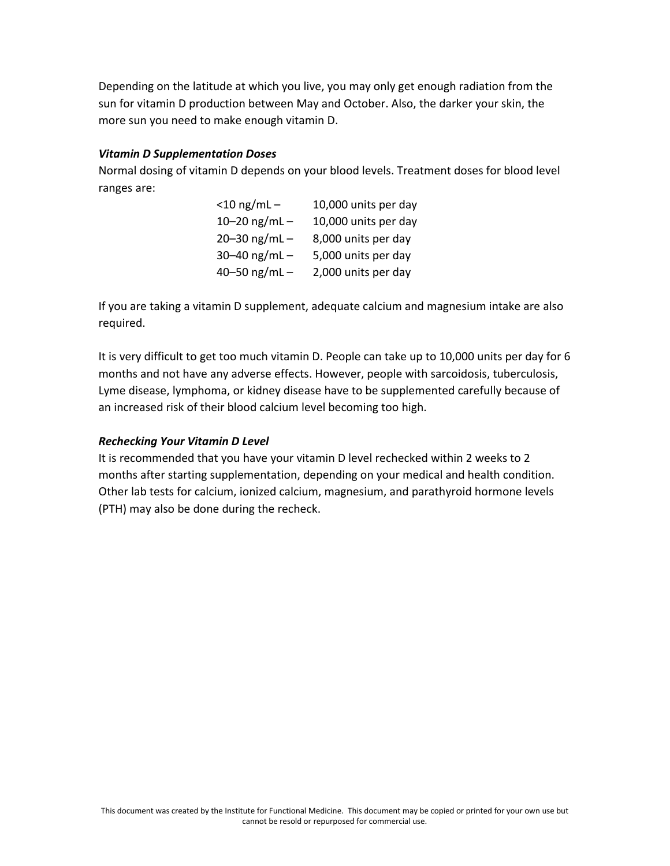Depending on the latitude at which you live, you may only get enough radiation from the sun for vitamin D production between May and October. Also, the darker your skin, the more sun you need to make enough vitamin D.

## *Vitamin D Supplementation Doses*

Normal dosing of vitamin D depends on your blood levels. Treatment doses for blood level ranges are:

| $<$ 10 ng/mL $-$  | 10,000 units per day |
|-------------------|----------------------|
| 10-20 ng/mL-      | 10,000 units per day |
| $20 - 30$ ng/mL - | 8,000 units per day  |
| 30-40 ng/mL-      | 5,000 units per day  |
| 40-50 ng/mL $-$   | 2,000 units per day  |

If you are taking a vitamin D supplement, adequate calcium and magnesium intake are also required.

It is very difficult to get too much vitamin D. People can take up to 10,000 units per day for 6 months and not have any adverse effects. However, people with sarcoidosis, tuberculosis, Lyme disease, lymphoma, or kidney disease have to be supplemented carefully because of an increased risk of their blood calcium level becoming too high.

## *Rechecking Your Vitamin D Level*

It is recommended that you have your vitamin D level rechecked within 2 weeks to 2 months after starting supplementation, depending on your medical and health condition. Other lab tests for calcium, ionized calcium, magnesium, and parathyroid hormone levels (PTH) may also be done during the recheck.